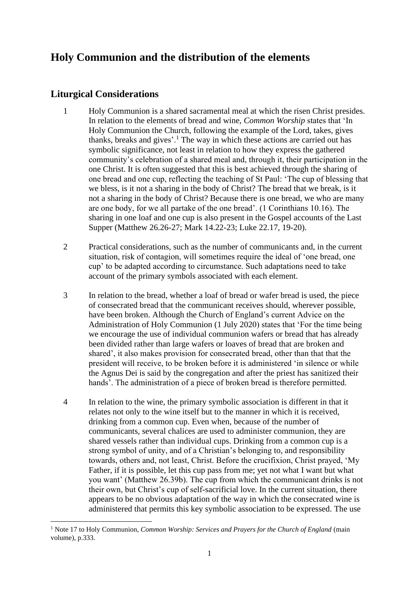# **Holy Communion and the distribution of the elements**

### **Liturgical Considerations**

- 1 Holy Communion is a shared sacramental meal at which the risen Christ presides. In relation to the elements of bread and wine, *Common Worship* states that 'In Holy Communion the Church, following the example of the Lord, takes, gives thanks, breaks and gives'.<sup>1</sup> The way in which these actions are carried out has symbolic significance, not least in relation to how they express the gathered community's celebration of a shared meal and, through it, their participation in the one Christ. It is often suggested that this is best achieved through the sharing of one bread and one cup, reflecting the teaching of St Paul: 'The cup of blessing that we bless, is it not a sharing in the body of Christ? The bread that we break, is it not a sharing in the body of Christ? Because there is one bread, we who are many are one body, for we all partake of the one bread'. (1 Corinthians 10.16). The sharing in one loaf and one cup is also present in the Gospel accounts of the Last Supper (Matthew 26.26-27; Mark 14.22-23; Luke 22.17, 19-20).
- 2 Practical considerations, such as the number of communicants and, in the current situation, risk of contagion, will sometimes require the ideal of 'one bread, one cup' to be adapted according to circumstance. Such adaptations need to take account of the primary symbols associated with each element.
- 3 In relation to the bread, whether a loaf of bread or wafer bread is used, the piece of consecrated bread that the communicant receives should, wherever possible, have been broken. Although the Church of England's current Advice on the Administration of Holy Communion (1 July 2020) states that 'For the time being we encourage the use of individual communion wafers or bread that has already been divided rather than large wafers or loaves of bread that are broken and shared', it also makes provision for consecrated bread, other than that that the president will receive, to be broken before it is administered 'in silence or while the Agnus Dei is said by the congregation and after the priest has sanitized their hands'. The administration of a piece of broken bread is therefore permitted.
- 4 In relation to the wine, the primary symbolic association is different in that it relates not only to the wine itself but to the manner in which it is received, drinking from a common cup. Even when, because of the number of communicants, several chalices are used to administer communion, they are shared vessels rather than individual cups. Drinking from a common cup is a strong symbol of unity, and of a Christian's belonging to, and responsibility towards, others and, not least, Christ. Before the crucifixion, Christ prayed, 'My Father, if it is possible, let this cup pass from me; yet not what I want but what you want' (Matthew 26.39b). The cup from which the communicant drinks is not their own, but Christ's cup of self-sacrificial love. In the current situation, there appears to be no obvious adaptation of the way in which the consecrated wine is administered that permits this key symbolic association to be expressed. The use

<sup>&</sup>lt;sup>1</sup> Note 17 to Holy Communion, *Common Worship: Services and Prayers for the Church of England* (main volume), p.333.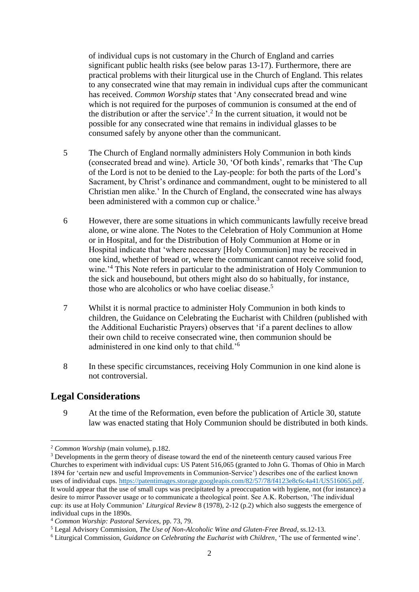of individual cups is not customary in the Church of England and carries significant public health risks (see below paras 13-17). Furthermore, there are practical problems with their liturgical use in the Church of England. This relates to any consecrated wine that may remain in individual cups after the communicant has received. *Common Worship* states that 'Any consecrated bread and wine which is not required for the purposes of communion is consumed at the end of the distribution or after the service'.<sup>2</sup> In the current situation, it would not be possible for any consecrated wine that remains in individual glasses to be consumed safely by anyone other than the communicant.

- 5 The Church of England normally administers Holy Communion in both kinds (consecrated bread and wine). Article 30, 'Of both kinds', remarks that 'The Cup of the Lord is not to be denied to the Lay-people: for both the parts of the Lord's Sacrament, by Christ's ordinance and commandment, ought to be ministered to all Christian men alike.' In the Church of England, the consecrated wine has always been administered with a common cup or chalice.<sup>3</sup>
- 6 However, there are some situations in which communicants lawfully receive bread alone, or wine alone. The Notes to the Celebration of Holy Communion at Home or in Hospital, and for the Distribution of Holy Communion at Home or in Hospital indicate that 'where necessary [Holy Communion] may be received in one kind, whether of bread or, where the communicant cannot receive solid food, wine.<sup>'4</sup> This Note refers in particular to the administration of Holy Communion to the sick and housebound, but others might also do so habitually, for instance, those who are alcoholics or who have coeliac disease.<sup>5</sup>
- 7 Whilst it is normal practice to administer Holy Communion in both kinds to children, the Guidance on Celebrating the Eucharist with Children (published with the Additional Eucharistic Prayers) observes that 'if a parent declines to allow their own child to receive consecrated wine, then communion should be administered in one kind only to that child.'<sup>6</sup>
- 8 In these specific circumstances, receiving Holy Communion in one kind alone is not controversial.

#### **Legal Considerations**

9 At the time of the Reformation, even before the publication of Article 30, statute law was enacted stating that Holy Communion should be distributed in both kinds.

<sup>2</sup> *Common Worship* (main volume), p.182.

<sup>&</sup>lt;sup>3</sup> Developments in the germ theory of disease toward the end of the nineteenth century caused various Free Churches to experiment with individual cups: US Patent 516,065 (granted to John G. Thomas of Ohio in March 1894 for 'certain new and useful Improvements in Communion-Service') describes one of the earliest known uses of individual cups. [https://patentimages.storage.googleapis.com/82/57/78/f4123e8c6c4a41/US516065.pdf.](https://patentimages.storage.googleapis.com/82/57/78/f4123e8c6c4a41/US516065.pdf) It would appear that the use of small cups was precipitated by a preoccupation with hygiene, not (for instance) a desire to mirror Passover usage or to communicate a theological point. See A.K. Robertson, 'The individual cup: its use at Holy Communion' *Liturgical Review* 8 (1978), 2-12 (p.2) which also suggests the emergence of individual cups in the 1890s.

<sup>4</sup> *Common Worship: Pastoral Services,* pp. 73, 79.

<sup>5</sup> Legal Advisory Commission, *The Use of Non-Alcoholic Wine and Gluten-Free Bread*, ss.12-13.

<sup>6</sup> Liturgical Commission, *Guidance on Celebrating the Eucharist with Children*, 'The use of fermented wine'.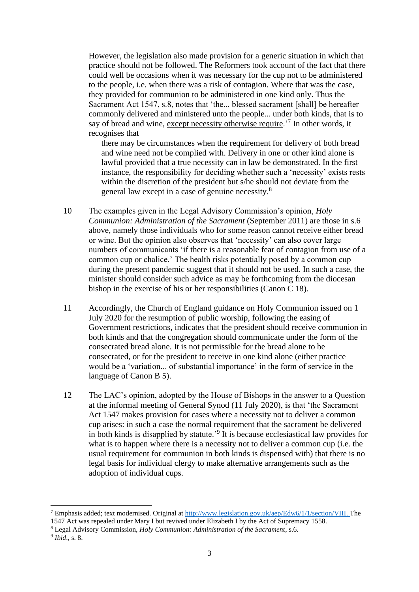However, the legislation also made provision for a generic situation in which that practice should not be followed. The Reformers took account of the fact that there could well be occasions when it was necessary for the cup not to be administered to the people, i.e. when there was a risk of contagion. Where that was the case, they provided for communion to be administered in one kind only. Thus the Sacrament Act 1547, s.8, notes that 'the... blessed sacrament [shall] be hereafter commonly delivered and ministered unto the people... under both kinds, that is to say of bread and wine, except necessity otherwise require.<sup>7</sup> In other words, it recognises that

there may be circumstances when the requirement for delivery of both bread and wine need not be complied with. Delivery in one or other kind alone is lawful provided that a true necessity can in law be demonstrated. In the first instance, the responsibility for deciding whether such a 'necessity' exists rests within the discretion of the president but s/he should not deviate from the general law except in a case of genuine necessity.<sup>8</sup>

- 10 The examples given in the Legal Advisory Commission's opinion, *Holy Communion: Administration of the Sacrament (September 2011) are those in s.6* above, namely those individuals who for some reason cannot receive either bread or wine. But the opinion also observes that 'necessity' can also cover large numbers of communicants 'if there is a reasonable fear of contagion from use of a common cup or chalice.' The health risks potentially posed by a common cup during the present pandemic suggest that it should not be used. In such a case, the minister should consider such advice as may be forthcoming from the diocesan bishop in the exercise of his or her responsibilities (Canon C 18).
- 11 Accordingly, the Church of England guidance on Holy Communion issued on 1 July 2020 for the resumption of public worship, following the easing of Government restrictions, indicates that the president should receive communion in both kinds and that the congregation should communicate under the form of the consecrated bread alone. It is not permissible for the bread alone to be consecrated, or for the president to receive in one kind alone (either practice would be a 'variation... of substantial importance' in the form of service in the language of Canon B 5).
- 12 The LAC's opinion, adopted by the House of Bishops in the answer to a Question at the informal meeting of General Synod (11 July 2020), is that 'the Sacrament Act 1547 makes provision for cases where a necessity not to deliver a common cup arises: in such a case the normal requirement that the sacrament be delivered in both kinds is disapplied by statute.<sup>'9</sup> It is because ecclesiastical law provides for what is to happen where there is a necessity not to deliver a common cup (i.e. the usual requirement for communion in both kinds is dispensed with) that there is no legal basis for individual clergy to make alternative arrangements such as the adoption of individual cups.

<sup>7</sup> Emphasis added; text modernised. Original at [http://www.legislation.gov.uk/aep/Edw6/1/1/section/VIII.](http://www.legislation.gov.uk/aep/Edw6/1/1/section/VIII) The 1547 Act was repealed under Mary I but revived under Elizabeth I by the Act of Supremacy 1558.

<sup>8</sup> Legal Advisory Commission, *Holy Communion: Administration of the Sacrament*, s.6.

<sup>9</sup> *Ibid*., s. 8.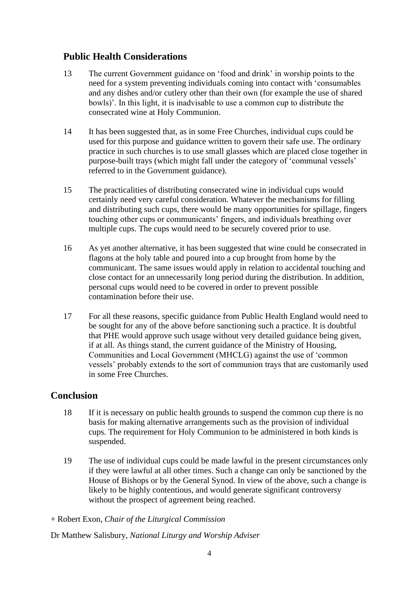## **Public Health Considerations**

- 13 The current Government guidance on 'food and drink' in worship points to the need for a system preventing individuals coming into contact with 'consumables and any dishes and/or cutlery other than their own (for example the use of shared bowls)'. In this light, it is inadvisable to use a common cup to distribute the consecrated wine at Holy Communion.
- 14 It has been suggested that, as in some Free Churches, individual cups could be used for this purpose and guidance written to govern their safe use. The ordinary practice in such churches is to use small glasses which are placed close together in purpose-built trays (which might fall under the category of 'communal vessels' referred to in the Government guidance).
- 15 The practicalities of distributing consecrated wine in individual cups would certainly need very careful consideration. Whatever the mechanisms for filling and distributing such cups, there would be many opportunities for spillage, fingers touching other cups or communicants' fingers, and individuals breathing over multiple cups. The cups would need to be securely covered prior to use.
- 16 As yet another alternative, it has been suggested that wine could be consecrated in flagons at the holy table and poured into a cup brought from home by the communicant. The same issues would apply in relation to accidental touching and close contact for an unnecessarily long period during the distribution. In addition, personal cups would need to be covered in order to prevent possible contamination before their use.
- 17 For all these reasons, specific guidance from Public Health England would need to be sought for any of the above before sanctioning such a practice. It is doubtful that PHE would approve such usage without very detailed guidance being given, if at all. As things stand, the current guidance of the Ministry of Housing, Communities and Local Government (MHCLG) against the use of 'common vessels' probably extends to the sort of communion trays that are customarily used in some Free Churches.

#### **Conclusion**

- 18 If it is necessary on public health grounds to suspend the common cup there is no basis for making alternative arrangements such as the provision of individual cups. The requirement for Holy Communion to be administered in both kinds is suspended.
- 19 The use of individual cups could be made lawful in the present circumstances only if they were lawful at all other times. Such a change can only be sanctioned by the House of Bishops or by the General Synod. In view of the above, such a change is likely to be highly contentious, and would generate significant controversy without the prospect of agreement being reached.
- + Robert Exon, *Chair of the Liturgical Commission*

Dr Matthew Salisbury, *National Liturgy and Worship Adviser*